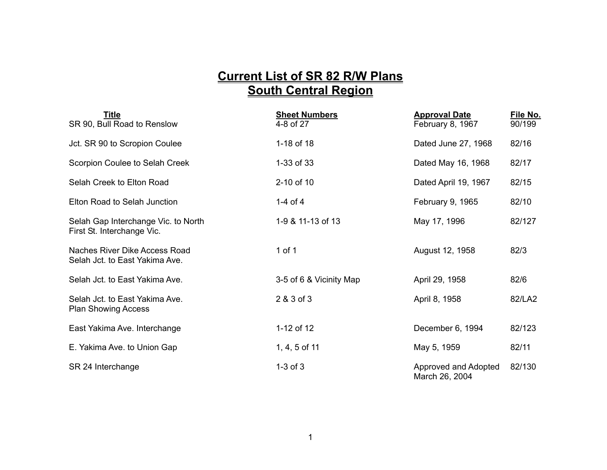## **Current List of SR 82 R/W Plans South Central Region**

| <b>Title</b><br>SR 90, Bull Road to Renslow                       | <b>Sheet Numbers</b><br>4-8 of 27 | <b>Approval Date</b><br>February 8, 1967 | File No.<br>90/199 |
|-------------------------------------------------------------------|-----------------------------------|------------------------------------------|--------------------|
| Jct. SR 90 to Scropion Coulee                                     | 1-18 of 18                        | Dated June 27, 1968                      | 82/16              |
| Scorpion Coulee to Selah Creek                                    | 1-33 of 33                        | Dated May 16, 1968                       | 82/17              |
| Selah Creek to Elton Road                                         | 2-10 of 10                        | Dated April 19, 1967                     | 82/15              |
| Elton Road to Selah Junction                                      | 1-4 of $4$                        | February 9, 1965                         | 82/10              |
| Selah Gap Interchange Vic. to North<br>First St. Interchange Vic. | 1-9 & 11-13 of 13                 | May 17, 1996                             | 82/127             |
| Naches River Dike Access Road<br>Selah Jct. to East Yakima Ave.   | $1$ of $1$                        | August 12, 1958                          | 82/3               |
| Selah Jct. to East Yakima Ave.                                    | 3-5 of 6 & Vicinity Map           | April 29, 1958                           | 82/6               |
| Selah Jct. to East Yakima Ave.<br><b>Plan Showing Access</b>      | 2 & 3 of 3                        | April 8, 1958                            | 82/LA2             |
| East Yakima Ave. Interchange                                      | 1-12 of 12                        | December 6, 1994                         | 82/123             |
| E. Yakima Ave. to Union Gap                                       | $1, 4, 5$ of 11                   | May 5, 1959                              | 82/11              |
| SR 24 Interchange                                                 | $1-3$ of $3$                      | Approved and Adopted<br>March 26, 2004   | 82/130             |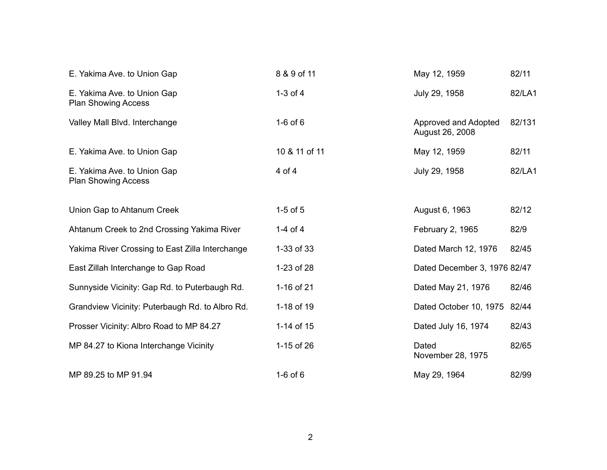| E. Yakima Ave. to Union Gap                               | 8 & 9 of 11   | May 12, 1959                            | 82/11  |
|-----------------------------------------------------------|---------------|-----------------------------------------|--------|
| E. Yakima Ave. to Union Gap<br><b>Plan Showing Access</b> | $1-3$ of $4$  | July 29, 1958                           | 82/LA1 |
| Valley Mall Blvd. Interchange                             | $1-6$ of $6$  | Approved and Adopted<br>August 26, 2008 | 82/131 |
| E. Yakima Ave. to Union Gap                               | 10 & 11 of 11 | May 12, 1959                            | 82/11  |
| E. Yakima Ave. to Union Gap<br><b>Plan Showing Access</b> | $4$ of $4$    | July 29, 1958                           | 82/LA1 |
| Union Gap to Ahtanum Creek                                | $1-5$ of $5$  | August 6, 1963                          | 82/12  |
| Ahtanum Creek to 2nd Crossing Yakima River                | 1-4 of 4      | February 2, 1965                        | 82/9   |
| Yakima River Crossing to East Zilla Interchange           | 1-33 of 33    | Dated March 12, 1976                    | 82/45  |
| East Zillah Interchange to Gap Road                       | 1-23 of 28    | Dated December 3, 1976 82/47            |        |
| Sunnyside Vicinity: Gap Rd. to Puterbaugh Rd.             | 1-16 of 21    | Dated May 21, 1976                      | 82/46  |
| Grandview Vicinity: Puterbaugh Rd. to Albro Rd.           | 1-18 of 19    | Dated October 10, 1975 82/44            |        |
| Prosser Vicinity: Albro Road to MP 84.27                  | 1-14 of 15    | Dated July 16, 1974                     | 82/43  |
| MP 84.27 to Kiona Interchange Vicinity                    | 1-15 of 26    | Dated<br>November 28, 1975              | 82/65  |
| MP 89.25 to MP 91.94                                      | $1-6$ of $6$  | May 29, 1964                            | 82/99  |